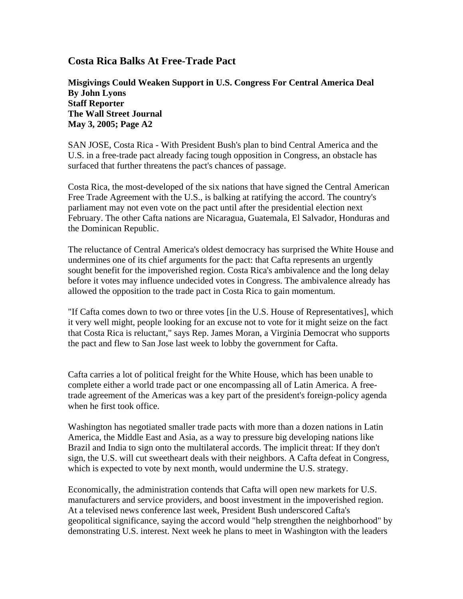## **Costa Rica Balks At Free-Trade Pact**

**Misgivings Could Weaken Support in U.S. Congress For Central America Deal By John Lyons Staff Reporter The Wall Street Journal May 3, 2005; Page A2** 

SAN JOSE, Costa Rica - With President Bush's plan to bind Central America and the U.S. in a free-trade pact already facing tough opposition in Congress, an obstacle has surfaced that further threatens the pact's chances of passage.

Costa Rica, the most-developed of the six nations that have signed the Central American Free Trade Agreement with the U.S., is balking at ratifying the accord. The country's parliament may not even vote on the pact until after the presidential election next February. The other Cafta nations are Nicaragua, Guatemala, El Salvador, Honduras and the Dominican Republic.

The reluctance of Central America's oldest democracy has surprised the White House and undermines one of its chief arguments for the pact: that Cafta represents an urgently sought benefit for the impoverished region. Costa Rica's ambivalence and the long delay before it votes may influence undecided votes in Congress. The ambivalence already has allowed the opposition to the trade pact in Costa Rica to gain momentum.

"If Cafta comes down to two or three votes [in the U.S. House of Representatives], which it very well might, people looking for an excuse not to vote for it might seize on the fact that Costa Rica is reluctant," says Rep. James Moran, a Virginia Democrat who supports the pact and flew to San Jose last week to lobby the government for Cafta.

Cafta carries a lot of political freight for the White House, which has been unable to complete either a world trade pact or one encompassing all of Latin America. A freetrade agreement of the Americas was a key part of the president's foreign-policy agenda when he first took office.

Washington has negotiated smaller trade pacts with more than a dozen nations in Latin America, the Middle East and Asia, as a way to pressure big developing nations like Brazil and India to sign onto the multilateral accords. The implicit threat: If they don't sign, the U.S. will cut sweetheart deals with their neighbors. A Cafta defeat in Congress, which is expected to vote by next month, would undermine the U.S. strategy.

Economically, the administration contends that Cafta will open new markets for U.S. manufacturers and service providers, and boost investment in the impoverished region. At a televised news conference last week, President Bush underscored Cafta's geopolitical significance, saying the accord would "help strengthen the neighborhood" by demonstrating U.S. interest. Next week he plans to meet in Washington with the leaders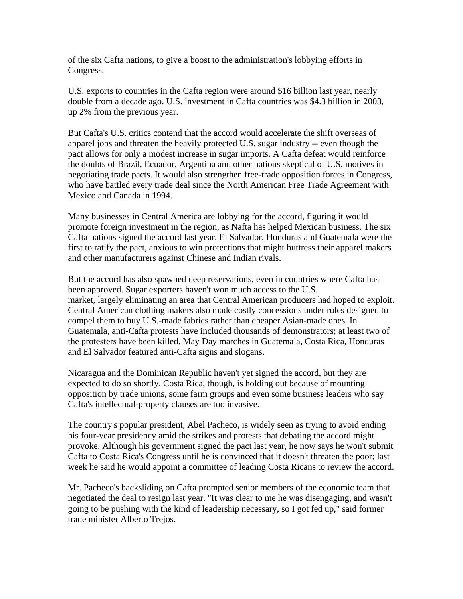of the six Cafta nations, to give a boost to the administration's lobbying efforts in Congress.

U.S. exports to countries in the Cafta region were around \$16 billion last year, nearly double from a decade ago. U.S. investment in Cafta countries was \$4.3 billion in 2003, up 2% from the previous year.

But Cafta's U.S. critics contend that the accord would accelerate the shift overseas of apparel jobs and threaten the heavily protected U.S. sugar industry -- even though the pact allows for only a modest increase in sugar imports. A Cafta defeat would reinforce the doubts of Brazil, Ecuador, Argentina and other nations skeptical of U.S. motives in negotiating trade pacts. It would also strengthen free-trade opposition forces in Congress, who have battled every trade deal since the North American Free Trade Agreement with Mexico and Canada in 1994.

Many businesses in Central America are lobbying for the accord, figuring it would promote foreign investment in the region, as Nafta has helped Mexican business. The six Cafta nations signed the accord last year. El Salvador, Honduras and Guatemala were the first to ratify the pact, anxious to win protections that might buttress their apparel makers and other manufacturers against Chinese and Indian rivals.

But the accord has also spawned deep reservations, even in countries where Cafta has been approved. Sugar exporters haven't won much access to the U.S. market, largely eliminating an area that Central American producers had hoped to exploit. Central American clothing makers also made costly concessions under rules designed to compel them to buy U.S.-made fabrics rather than cheaper Asian-made ones. In Guatemala, anti-Cafta protests have included thousands of demonstrators; at least two of the protesters have been killed. May Day marches in Guatemala, Costa Rica, Honduras and El Salvador featured anti-Cafta signs and slogans.

Nicaragua and the Dominican Republic haven't yet signed the accord, but they are expected to do so shortly. Costa Rica, though, is holding out because of mounting opposition by trade unions, some farm groups and even some business leaders who say Cafta's intellectual-property clauses are too invasive.

The country's popular president, Abel Pacheco, is widely seen as trying to avoid ending his four-year presidency amid the strikes and protests that debating the accord might provoke. Although his government signed the pact last year, he now says he won't submit Cafta to Costa Rica's Congress until he is convinced that it doesn't threaten the poor; last week he said he would appoint a committee of leading Costa Ricans to review the accord.

Mr. Pacheco's backsliding on Cafta prompted senior members of the economic team that negotiated the deal to resign last year. "It was clear to me he was disengaging, and wasn't going to be pushing with the kind of leadership necessary, so I got fed up," said former trade minister Alberto Trejos.